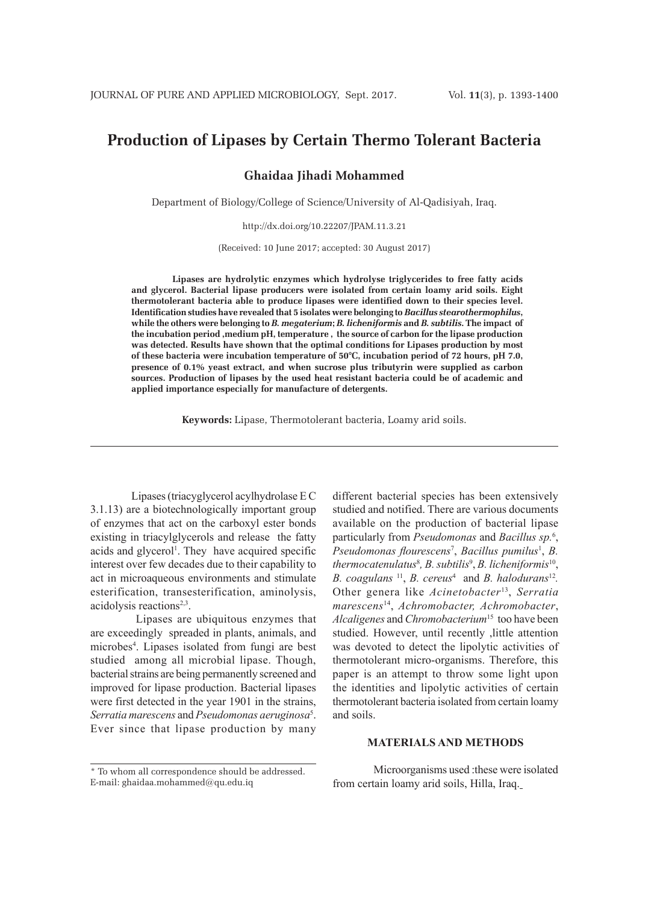# **Production of Lipases by Certain Thermo Tolerant Bacteria**

**Ghaidaa Jihadi Mohammed**

Department of Biology/College of Science/University of Al-Qadisiyah, Iraq.

http://dx.doi.org/10.22207/JPAM.11.3.21

(Received: 10 June 2017; accepted: 30 August 2017)

**Lipases are hydrolytic enzymes which hydrolyse triglycerides to free fatty acids and glycerol. Bacterial lipase producers were isolated from certain loamy arid soils. Eight thermotolerant bacteria able to produce lipases were identified down to their species level. Identification studies have revealed that 5 isolates were belonging to** *Bacillus stearothermophilus***, while the others were belonging to** *B. megaterium***;** *B. licheniformis* **and** *B. subtilis***. The impact of the incubation period ,medium pH, temperature , the source of carbon for the lipase production was detected. Results have shown that the optimal conditions for Lipases production by most of these bacteria were incubation temperature of 50°C, incubation period of 72 hours, pH 7.0, presence of 0.1% yeast extract, and when sucrose plus tributyrin were supplied as carbon sources. Production of lipases by the used heat resistant bacteria could be of academic and applied importance especially for manufacture of detergents.**

**Keywords:** Lipase, Thermotolerant bacteria, Loamy arid soils.

Lipases (triacyglycerol acylhydrolase E C 3.1.13) are a biotechnologically important group of enzymes that act on the carboxyl ester bonds existing in triacylglycerols and release the fatty acids and glycerol<sup>1</sup>. They have acquired specific interest over few decades due to their capability to act in microaqueous environments and stimulate esterification, transesterification, aminolysis, acidolysis reactions<sup>2,3</sup>.

 Lipases are ubiquitous enzymes that are exceedingly spreaded in plants, animals, and microbes4 . Lipases isolated from fungi are best studied among all microbial lipase. Though, bacterial strains are being permanently screened and improved for lipase production. Bacterial lipases were first detected in the year 1901 in the strains, *Serratia marescens* and *Pseudomonas aeruginosa*<sup>5</sup> . Ever since that lipase production by many

\* To whom all correspondence should be addressed. E-mail: ghaidaa.mohammed@qu.edu.iq

different bacterial species has been extensively studied and notified. There are various documents available on the production of bacterial lipase particularly from *Pseudomonas* and *Bacillus sp.*<sup>6</sup> , Pseudomonas flourescens<sup>7</sup>, Bacillus pumilus<sup>1</sup>, B. *thermocatenulatus*<sup>8</sup> *, B. subtilis*<sup>9</sup> , *B. licheniformis*10, *B. coagulans* 11, *B. cereus*<sup>4</sup> and *B. halodurans*<sup>12</sup>*.* Other genera like *Acinetobacter*13, *Serratia marescens*14, *Achromobacter, Achromobacter*, *Alcaligenes* and *Chromobacterium*<sup>15</sup> too have been studied. However, until recently ,little attention was devoted to detect the lipolytic activities of thermotolerant micro-organisms. Therefore, this paper is an attempt to throw some light upon the identities and lipolytic activities of certain thermotolerant bacteria isolated from certain loamy and soils.

# **MATERIALS AND METHODS**

Microorganisms used :these were isolated from certain loamy arid soils, Hilla, Iraq.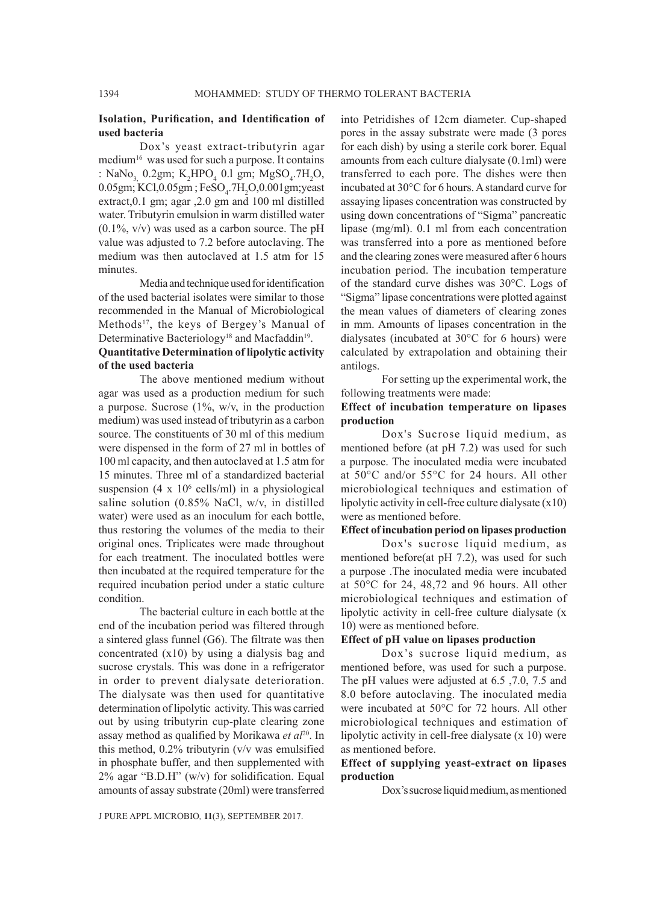# **Isolation, Purification, and Identification of used bacteria**

Dox's yeast extract-tributyrin agar medium<sup>16</sup> was used for such a purpose. It contains : NaNo<sub>3,</sub> 0.2gm; K<sub>2</sub>HPO<sub>4</sub> 0.1 gm; MgSO<sub>4</sub>.7H<sub>2</sub>O,  $0.05$ gm; KCl, $0.05$ gm; FeSO<sub>4</sub>.7H<sub>2</sub>O, $0.001$ gm; yeast extract,0.1 gm; agar ,2.0 gm and 100 ml distilled water. Tributyrin emulsion in warm distilled water  $(0.1\%$ ,  $v/v)$  was used as a carbon source. The pH value was adjusted to 7.2 before autoclaving. The medium was then autoclaved at 1.5 atm for 15 minutes.

Media and technique used for identification of the used bacterial isolates were similar to those recommended in the Manual of Microbiological Methods<sup>17</sup>, the keys of Bergey's Manual of Determinative Bacteriology<sup>18</sup> and Macfaddin<sup>19</sup>.

# **Quantitative Determination of lipolytic activity of the used bacteria**

The above mentioned medium without agar was used as a production medium for such a purpose. Sucrose  $(1\%, w/v)$ , in the production medium) was used instead of tributyrin as a carbon source. The constituents of 30 ml of this medium were dispensed in the form of 27 ml in bottles of 100 ml capacity, and then autoclaved at 1.5 atm for 15 minutes. Three ml of a standardized bacterial suspension  $(4 \times 10^6 \text{ cells/ml})$  in a physiological saline solution (0.85% NaCl, w/v, in distilled water) were used as an inoculum for each bottle, thus restoring the volumes of the media to their original ones. Triplicates were made throughout for each treatment. The inoculated bottles were then incubated at the required temperature for the required incubation period under a static culture condition.

The bacterial culture in each bottle at the end of the incubation period was filtered through a sintered glass funnel (G6). The filtrate was then concentrated (x10) by using a dialysis bag and sucrose crystals. This was done in a refrigerator in order to prevent dialysate deterioration. The dialysate was then used for quantitative determination of lipolytic activity. This was carried out by using tributyrin cup-plate clearing zone assay method as qualified by Morikawa et al<sup>20</sup>. In this method, 0.2% tributyrin (v/v was emulsified in phosphate buffer, and then supplemented with 2% agar "B.D.H" (w/v) for solidification. Equal amounts of assay substrate (20ml) were transferred into Petridishes of 12cm diameter. Cup-shaped pores in the assay substrate were made (3 pores for each dish) by using a sterile cork borer. Equal amounts from each culture dialysate (0.1ml) were transferred to each pore. The dishes were then incubated at 30°C for 6 hours. A standard curve for assaying lipases concentration was constructed by using down concentrations of "Sigma" pancreatic lipase (mg/ml). 0.1 ml from each concentration was transferred into a pore as mentioned before and the clearing zones were measured after 6 hours incubation period. The incubation temperature of the standard curve dishes was 30°C. Logs of "Sigma" lipase concentrations were plotted against the mean values of diameters of clearing zones in mm. Amounts of lipases concentration in the dialysates (incubated at 30°C for 6 hours) were calculated by extrapolation and obtaining their antilogs.

For setting up the experimental work, the following treatments were made:

### **Effect of incubation temperature on lipases production**

Dox's Sucrose liquid medium, as mentioned before (at pH 7.2) was used for such a purpose. The inoculated media were incubated at 50°C and/or 55°C for 24 hours. All other microbiological techniques and estimation of lipolytic activity in cell-free culture dialysate (x10) were as mentioned before.

#### **Effect of incubation period on lipases production**

Dox's sucrose liquid medium, as mentioned before(at pH 7.2), was used for such a purpose .The inoculated media were incubated at 50°C for 24, 48,72 and 96 hours. All other microbiological techniques and estimation of lipolytic activity in cell-free culture dialysate (x 10) were as mentioned before.

#### **Effect of pH value on lipases production**

Dox's sucrose liquid medium, as mentioned before, was used for such a purpose. The pH values were adjusted at 6.5 ,7.0, 7.5 and 8.0 before autoclaving. The inoculated media were incubated at 50°C for 72 hours. All other microbiological techniques and estimation of lipolytic activity in cell-free dialysate (x 10) were as mentioned before.

# **Effect of supplying yeast-extract on lipases production**

Dox's sucrose liquid medium, as mentioned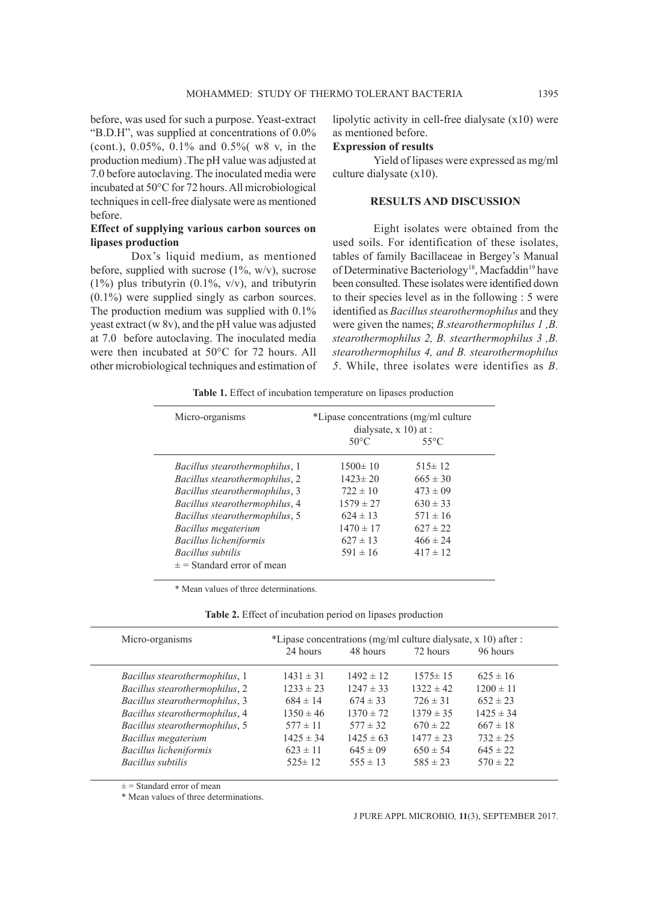before, was used for such a purpose. Yeast-extract "B.D.H", was supplied at concentrations of 0.0% (cont.), 0.05%, 0.1% and 0.5%( w8 v, in the production medium) .The pH value was adjusted at 7.0 before autoclaving. The inoculated media were incubated at 50°C for 72 hours. All microbiological techniques in cell-free dialysate were as mentioned before.

# **Effect of supplying various carbon sources on lipases production**

Dox's liquid medium, as mentioned before, supplied with sucrose (1%, w/v), sucrose  $(1\%)$  plus tributyrin  $(0.1\%, v/v)$ , and tributyrin (0.1%) were supplied singly as carbon sources. The production medium was supplied with 0.1% yeast extract (w 8v), and the pH value was adjusted at 7.0 before autoclaving. The inoculated media were then incubated at 50°C for 72 hours. All other microbiological techniques and estimation of lipolytic activity in cell-free dialysate (x10) were as mentioned before.

#### **Expression of results**

Yield of lipases were expressed as mg/ml culture dialysate (x10).

### **RESULTS AND DISCUSSION**

Eight isolates were obtained from the used soils. For identification of these isolates, tables of family Bacillaceae in Bergey's Manual of Determinative Bacteriology<sup>18</sup>, Macfaddin<sup>19</sup> have been consulted. These isolates were identified down to their species level as in the following : 5 were identified as *Bacillus stearothermophilus* and they were given the names; *B.stearothermophilus 1 ,B. stearothermophilus 2, B. stearthermophilus 3 ,B. stearothermophilus 4, and B. stearothermophilus 5*. While, three isolates were identifies as *B.* 

**Table 1.** Effect of incubation temperature on lipases production

| Micro-organisms                       | *Lipase concentrations (mg/ml culture)<br>dialysate, $x$ 10) at : |                |  |  |
|---------------------------------------|-------------------------------------------------------------------|----------------|--|--|
|                                       | $50^{\circ}$ C                                                    | $55^{\circ}$ C |  |  |
| <i>Bacillus stearothermophilus, 1</i> | $1500 \pm 10$                                                     | $515 \pm 12$   |  |  |
| Bacillus stearothermophilus, 2        | $1423 \pm 20$                                                     | $665 \pm 30$   |  |  |
| Bacillus stearothermophilus, 3        | $722 \pm 10$                                                      | $473 \pm 09$   |  |  |
| Bacillus stearothermophilus, 4        | $1579 \pm 27$                                                     | $630 \pm 33$   |  |  |
| Bacillus stearothermophilus, 5        | $624 \pm 13$                                                      | $571 \pm 16$   |  |  |
| Bacillus megaterium                   | $1470 \pm 17$                                                     | $627 \pm 22$   |  |  |
| Bacillus licheniformis                | $627 \pm 13$                                                      | $466 \pm 24$   |  |  |
| Bacillus subtilis                     | $591 \pm 16$                                                      | $417 \pm 12$   |  |  |
| $\pm$ = Standard error of mean        |                                                                   |                |  |  |

\* Mean values of three determinations.

| Micro-organisms                       | *Lipase concentrations (mg/ml culture dialysate, $x$ 10) after : |               |               |               |  |
|---------------------------------------|------------------------------------------------------------------|---------------|---------------|---------------|--|
|                                       | 24 hours                                                         | 48 hours      | 72 hours      | 96 hours      |  |
| <i>Bacillus stearothermophilus, 1</i> | $1431 \pm 31$                                                    | $1492 \pm 12$ | $1575 \pm 15$ | $625 \pm 16$  |  |
| Bacillus stearothermophilus, 2        | $1233 \pm 23$                                                    | $1247 \pm 33$ | $1322 \pm 42$ | $1200 \pm 11$ |  |
| Bacillus stearothermophilus, 3        | $684 \pm 14$                                                     | $674 \pm 33$  | $726 \pm 31$  | $652 \pm 23$  |  |
| Bacillus stearothermophilus, 4        | $1350 \pm 46$                                                    | $1370 \pm 72$ | $1379 \pm 35$ | $1425 \pm 34$ |  |
| Bacillus stearothermophilus, 5        | $577 \pm 11$                                                     | $577 \pm 32$  | $670 \pm 22$  | $667 \pm 18$  |  |
| Bacillus megaterium                   | $1425 \pm 34$                                                    | $1425 \pm 63$ | $1477 \pm 23$ | $732 \pm 25$  |  |
| Bacillus licheniformis                | $623 \pm 11$                                                     | $645 \pm 09$  | $650 \pm 54$  | $645 \pm 22$  |  |
| Bacillus subtilis                     | $525 \pm 12$                                                     | $555 \pm 13$  | $585 \pm 23$  | $570 \pm 22$  |  |

 $\pm$  = Standard error of mean

\* Mean values of three determinations.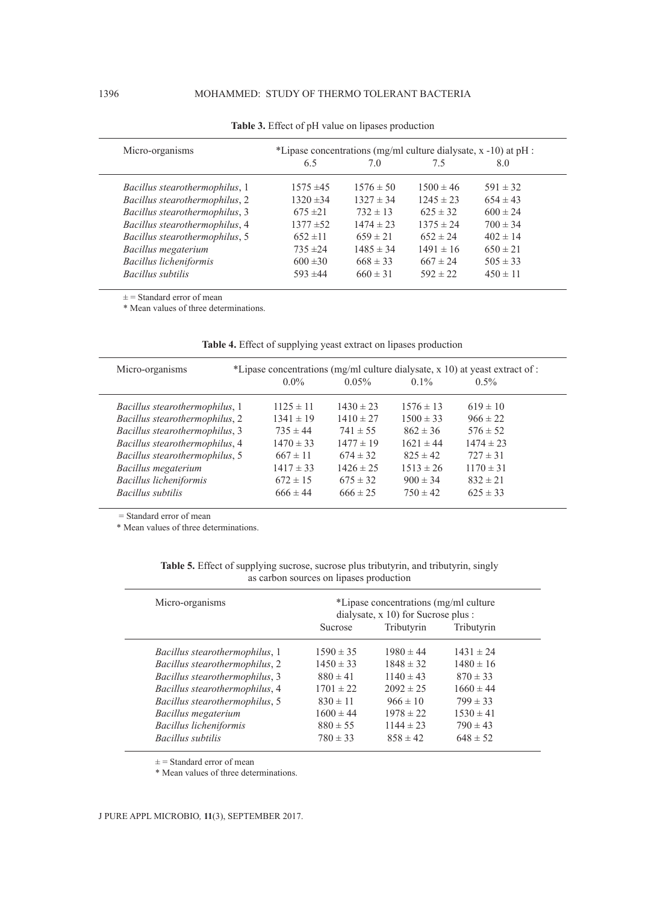| Micro-organisms                |               | *Lipase concentrations (mg/ml culture dialysate, $x -10$ ) at pH : |               |              |  |  |
|--------------------------------|---------------|--------------------------------------------------------------------|---------------|--------------|--|--|
|                                | 6.5           | 70                                                                 | 75            | 8.0          |  |  |
| Bacillus stearothermophilus, 1 | $1575 \pm 45$ | $1576 \pm 50$                                                      | $1500 \pm 46$ | $591 \pm 32$ |  |  |
| Bacillus stearothermophilus, 2 | $1320 \pm 34$ | $1327 \pm 34$                                                      | $1245 \pm 23$ | $654 \pm 43$ |  |  |
| Bacillus stearothermophilus, 3 | $675 \pm 21$  | $732 \pm 13$                                                       | $625 \pm 32$  | $600 \pm 24$ |  |  |
| Bacillus stearothermophilus, 4 | $1377 \pm 52$ | $1474 \pm 23$                                                      | $1375 \pm 24$ | $700 \pm 34$ |  |  |
| Bacillus stearothermophilus, 5 | $652 \pm 11$  | $659 \pm 21$                                                       | $652 \pm 24$  | $402 \pm 14$ |  |  |
| Bacillus megaterium            | $735 \pm 24$  | $1485 \pm 34$                                                      | $1491 \pm 16$ | $650 \pm 21$ |  |  |
| Bacillus licheniformis         | $600 \pm 30$  | $668 \pm 33$                                                       | $667 \pm 24$  | $505 \pm 33$ |  |  |
| Bacillus subtilis              | $593 \pm 44$  | $660 \pm 31$                                                       | $592 \pm 22$  | $450 \pm 11$ |  |  |

**Table 3.** Effect of pH value on lipases production

 $\pm$  = Standard error of mean

\* Mean values of three determinations.

| Micro-organisms                |               |               |               | *Lipase concentrations (mg/ml culture dialysate, x 10) at yeast extract of : |
|--------------------------------|---------------|---------------|---------------|------------------------------------------------------------------------------|
|                                | $0.0\%$       | $0.05\%$      | $0.1\%$       | $0.5\%$                                                                      |
| Bacillus stearothermophilus, 1 | $1125 \pm 11$ | $1430 \pm 23$ | $1576 \pm 13$ | $619 \pm 10$                                                                 |
| Bacillus stearothermophilus, 2 | $1341 \pm 19$ | $1410 \pm 27$ | $1500 \pm 33$ | $966 \pm 22$                                                                 |
| Bacillus stearothermophilus, 3 | $735 \pm 44$  | $741 \pm 55$  | $862 \pm 36$  | $576 \pm 52$                                                                 |
| Bacillus stearothermophilus, 4 | $1470 \pm 33$ | $1477 \pm 19$ | $1621 \pm 44$ | $1474 \pm 23$                                                                |
| Bacillus stearothermophilus, 5 | $667 \pm 11$  | $674 \pm 32$  | $825 \pm 42$  | $727 \pm 31$                                                                 |
| Bacillus megaterium            | $1417 \pm 33$ | $1426 \pm 25$ | $1513 \pm 26$ | $1170 \pm 31$                                                                |
| Bacillus licheniformis         | $672 \pm 15$  | $675 \pm 32$  | $900 \pm 34$  | $832 \pm 21$                                                                 |
| Bacillus subtilis              | $666 \pm 44$  | $666 \pm 25$  | $750 \pm 42$  | $625 \pm 33$                                                                 |

**Table 4.** Effect of supplying yeast extract on lipases production

= Standard error of mean

\* Mean values of three determinations.

| Micro-organisms                       | *Lipase concentrations (mg/ml culture<br>dialysate, x 10) for Sucrose plus : |               |               |  |
|---------------------------------------|------------------------------------------------------------------------------|---------------|---------------|--|
|                                       | Sucrose                                                                      | Tributyrin    | Tributyrin    |  |
| <i>Bacillus stearothermophilus, 1</i> | $1590 \pm 35$                                                                | $1980 \pm 44$ | $1431 \pm 24$ |  |
| Bacillus stearothermophilus, 2        | $1450 \pm 33$                                                                | $1848 \pm 32$ | $1480 \pm 16$ |  |
| Bacillus stearothermophilus, 3        | $880 \pm 41$                                                                 | $1140 \pm 43$ | $870 \pm 33$  |  |
| Bacillus stearothermophilus, 4        | $1701 \pm 22$                                                                | $2092 \pm 25$ | $1660 \pm 44$ |  |
| Bacillus stearothermophilus, 5        | $830 \pm 11$                                                                 | $966 \pm 10$  | $799 \pm 33$  |  |
| Bacillus megaterium                   | $1600 \pm 44$                                                                | $1978 \pm 22$ | $1530 \pm 41$ |  |
| Bacillus licheniformis                | $880 \pm 55$                                                                 | $1144 \pm 23$ | $790 \pm 43$  |  |
| Bacillus subtilis                     | $780 \pm 33$                                                                 | $858 \pm 42$  | $648 \pm 52$  |  |
|                                       |                                                                              |               |               |  |

| <b>Table 5.</b> Effect of supplying sucrose, sucrose plus tributyrin, and tributyrin, singly |                                         |  |  |  |
|----------------------------------------------------------------------------------------------|-----------------------------------------|--|--|--|
|                                                                                              | as carbon sources on lipases production |  |  |  |

 $\pm$  = Standard error of mean

\* Mean values of three determinations.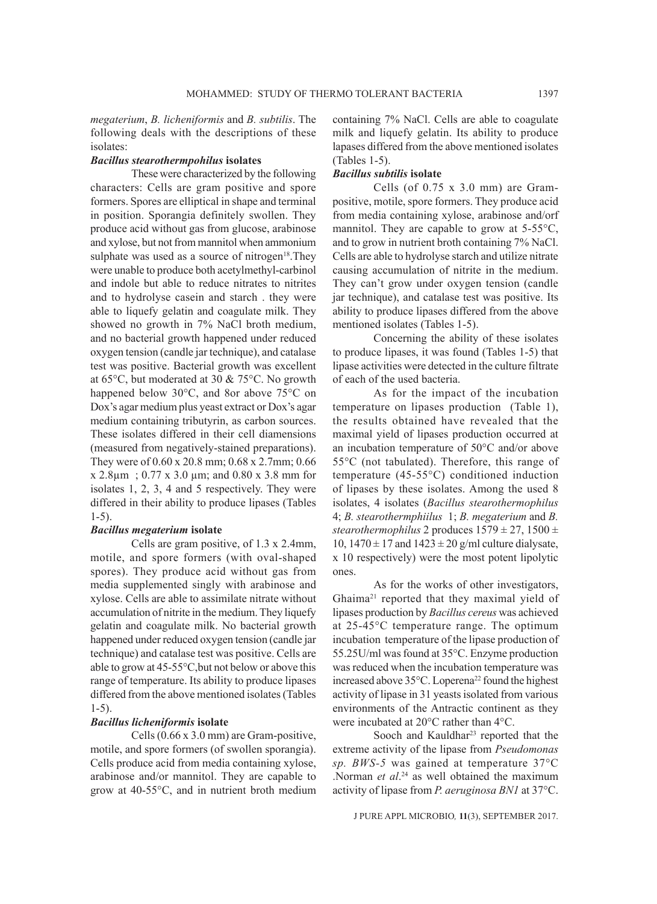*megaterium*, *B. licheniformis* and *B. subtilis*. The following deals with the descriptions of these isolates:

#### *Bacillus stearothermpohilus* **isolates**

These were characterized by the following characters: Cells are gram positive and spore formers. Spores are elliptical in shape and terminal in position. Sporangia definitely swollen. They produce acid without gas from glucose, arabinose and xylose, but not from mannitol when ammonium sulphate was used as a source of nitrogen<sup>18</sup>. They were unable to produce both acetylmethyl-carbinol and indole but able to reduce nitrates to nitrites and to hydrolyse casein and starch . they were able to liquefy gelatin and coagulate milk. They showed no growth in 7% NaCl broth medium, and no bacterial growth happened under reduced oxygen tension (candle jar technique), and catalase test was positive. Bacterial growth was excellent at 65°C, but moderated at 30 & 75°C. No growth happened below 30°C, and 8or above 75°C on Dox's agar medium plus yeast extract or Dox's agar medium containing tributyrin, as carbon sources. These isolates differed in their cell diamensions (measured from negatively-stained preparations). They were of 0.60 x 20.8 mm; 0.68 x 2.7mm; 0.66 x 2.8µm ; 0.77 x 3.0 µm; and 0.80 x 3.8 mm for isolates 1, 2, 3, 4 and 5 respectively. They were differed in their ability to produce lipases (Tables 1-5).

#### *Bacillus megaterium* **isolate**

Cells are gram positive, of 1.3 x 2.4mm, motile, and spore formers (with oval-shaped spores). They produce acid without gas from media supplemented singly with arabinose and xylose. Cells are able to assimilate nitrate without accumulation of nitrite in the medium. They liquefy gelatin and coagulate milk. No bacterial growth happened under reduced oxygen tension (candle jar technique) and catalase test was positive. Cells are able to grow at 45-55°C,but not below or above this range of temperature. Its ability to produce lipases differed from the above mentioned isolates (Tables 1-5).

## *Bacillus licheniformis* **isolate**

Cells (0.66 x 3.0 mm) are Gram-positive, motile, and spore formers (of swollen sporangia). Cells produce acid from media containing xylose, arabinose and/or mannitol. They are capable to grow at 40-55°C, and in nutrient broth medium containing 7% NaCl. Cells are able to coagulate milk and liquefy gelatin. Its ability to produce lapases differed from the above mentioned isolates (Tables 1-5).

#### *Bacillus subtilis* **isolate**

Cells (of 0.75 x 3.0 mm) are Grampositive, motile, spore formers. They produce acid from media containing xylose, arabinose and/orf mannitol. They are capable to grow at 5-55°C, and to grow in nutrient broth containing 7% NaCl. Cells are able to hydrolyse starch and utilize nitrate causing accumulation of nitrite in the medium. They can't grow under oxygen tension (candle jar technique), and catalase test was positive. Its ability to produce lipases differed from the above mentioned isolates (Tables 1-5).

Concerning the ability of these isolates to produce lipases, it was found (Tables 1-5) that lipase activities were detected in the culture filtrate of each of the used bacteria.

As for the impact of the incubation temperature on lipases production (Table 1), the results obtained have revealed that the maximal yield of lipases production occurred at an incubation temperature of 50°C and/or above 55°C (not tabulated). Therefore, this range of temperature (45-55°C) conditioned induction of lipases by these isolates. Among the used 8 isolates, 4 isolates (*Bacillus stearothermophilus* 4; *B. stearothermphiilus* 1; *B. megaterium* and *B. stearothermophilus* 2 produces  $1579 \pm 27$ ,  $1500 \pm$ 10,  $1470 \pm 17$  and  $1423 \pm 20$  g/ml culture dialysate, x 10 respectively) were the most potent lipolytic ones.

As for the works of other investigators, Ghaima21 reported that they maximal yield of lipases production by *Bacillus cereus* was achieved at 25-45°C temperature range. The optimum incubation temperature of the lipase production of 55.25U/ml was found at 35°C. Enzyme production was reduced when the incubation temperature was increased above 35°C. Loperena<sup>22</sup> found the highest activity of lipase in 31 yeasts isolated from various environments of the Antractic continent as they were incubated at 20°C rather than 4°C.

Sooch and Kauldhar<sup>23</sup> reported that the extreme activity of the lipase from *Pseudomonas sp. BWS-5* was gained at temperature 37°C .Norman *et al*. 24 as well obtained the maximum activity of lipase from *P. aeruginosa BN1* at 37°C.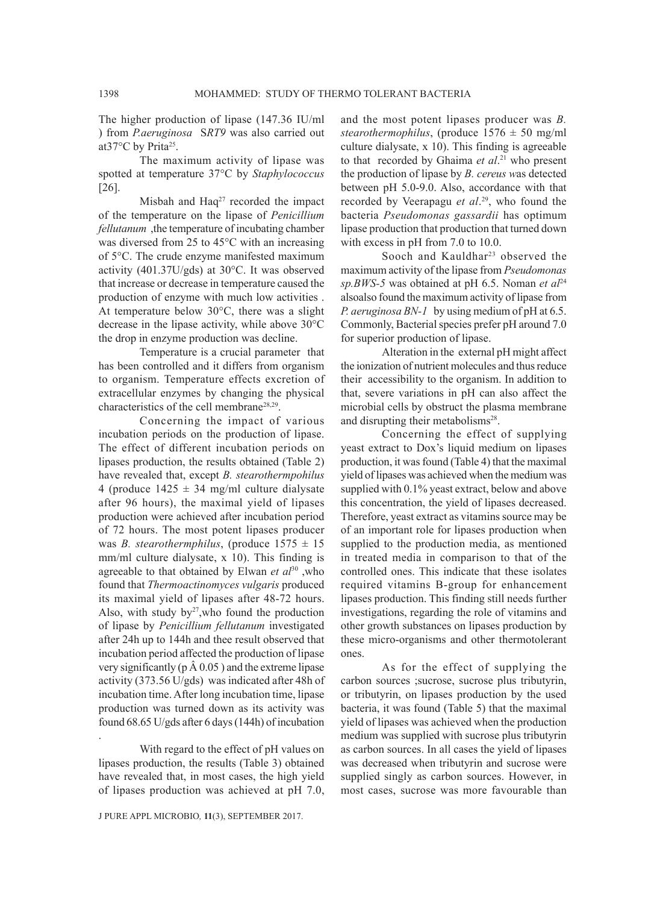# The higher production of lipase (147.36 IU/ml ) from *P.aeruginosa* S*RT9* was also carried out at37°C by Prita<sup>25</sup>.

The maximum activity of lipase was spotted at temperature 37°C by *Staphylococcus* [26].

Misbah and  $Haq^{27}$  recorded the impact of the temperature on the lipase of *Penicillium fellutanum* ,the temperature of incubating chamber was diversed from 25 to 45°C with an increasing of 5°C. The crude enzyme manifested maximum activity (401.37U/gds) at 30°C. It was observed that increase or decrease in temperature caused the production of enzyme with much low activities . At temperature below 30°C, there was a slight decrease in the lipase activity, while above 30°C the drop in enzyme production was decline.

Temperature is a crucial parameter that has been controlled and it differs from organism to organism. Temperature effects excretion of extracellular enzymes by changing the physical characteristics of the cell membrane<sup>28,29</sup>.

Concerning the impact of various incubation periods on the production of lipase. The effect of different incubation periods on lipases production, the results obtained (Table 2) have revealed that, except *B. stearothermpohilus* 4 (produce  $1425 \pm 34$  mg/ml culture dialysate after 96 hours), the maximal yield of lipases production were achieved after incubation period of 72 hours. The most potent lipases producer was *B. stearothermphilus*, (produce  $1575 \pm 15$ mm/ml culture dialysate, x 10). This finding is agreeable to that obtained by Elwan et al<sup>30</sup>, who found that *Thermoactinomyces vulgaris* produced its maximal yield of lipases after 48-72 hours. Also, with study  $by<sup>27</sup>$ , who found the production of lipase by *Penicillium fellutanum* investigated after 24h up to 144h and thee result observed that incubation period affected the production of lipase very significantly ( $p \land 0.05$ ) and the extreme lipase activity (373.56 U/gds) was indicated after 48h of incubation time. After long incubation time, lipase production was turned down as its activity was found 68.65 U/gds after 6 days (144h) of incubation

With regard to the effect of pH values on lipases production, the results (Table 3) obtained have revealed that, in most cases, the high yield of lipases production was achieved at pH 7.0,

.

and the most potent lipases producer was *B. stearothermophilus*, (produce  $1576 \pm 50$  mg/ml culture dialysate, x 10). This finding is agreeable to that recorded by Ghaima *et al*. 21 who present the production of lipase by *B. cereus w*as detected between pH 5.0-9.0. Also, accordance with that recorded by Veerapagu *et al*. 29, who found the bacteria *Pseudomonas gassardii* has optimum lipase production that production that turned down with excess in pH from 7.0 to 10.0.

Sooch and Kauldhar<sup>23</sup> observed the maximum activity of the lipase from *Pseudomonas sp.BWS-5* was obtained at pH 6.5. Noman *et al*<sup>24</sup> alsoalso found the maximum activity of lipase from *P. aeruginosa BN-1* by using medium of pH at 6.5. Commonly, Bacterial species prefer pH around 7.0 for superior production of lipase.

Alteration in the external pH might affect the ionization of nutrient molecules and thus reduce their accessibility to the organism. In addition to that, severe variations in pH can also affect the microbial cells by obstruct the plasma membrane and disrupting their metabolisms<sup>28</sup>.

Concerning the effect of supplying yeast extract to Dox's liquid medium on lipases production, it was found (Table 4) that the maximal yield of lipases was achieved when the medium was supplied with 0.1% yeast extract, below and above this concentration, the yield of lipases decreased. Therefore, yeast extract as vitamins source may be of an important role for lipases production when supplied to the production media, as mentioned in treated media in comparison to that of the controlled ones. This indicate that these isolates required vitamins B-group for enhancement lipases production. This finding still needs further investigations, regarding the role of vitamins and other growth substances on lipases production by these micro-organisms and other thermotolerant ones.

As for the effect of supplying the carbon sources ;sucrose, sucrose plus tributyrin, or tributyrin, on lipases production by the used bacteria, it was found (Table 5) that the maximal yield of lipases was achieved when the production medium was supplied with sucrose plus tributyrin as carbon sources. In all cases the yield of lipases was decreased when tributyrin and sucrose were supplied singly as carbon sources. However, in most cases, sucrose was more favourable than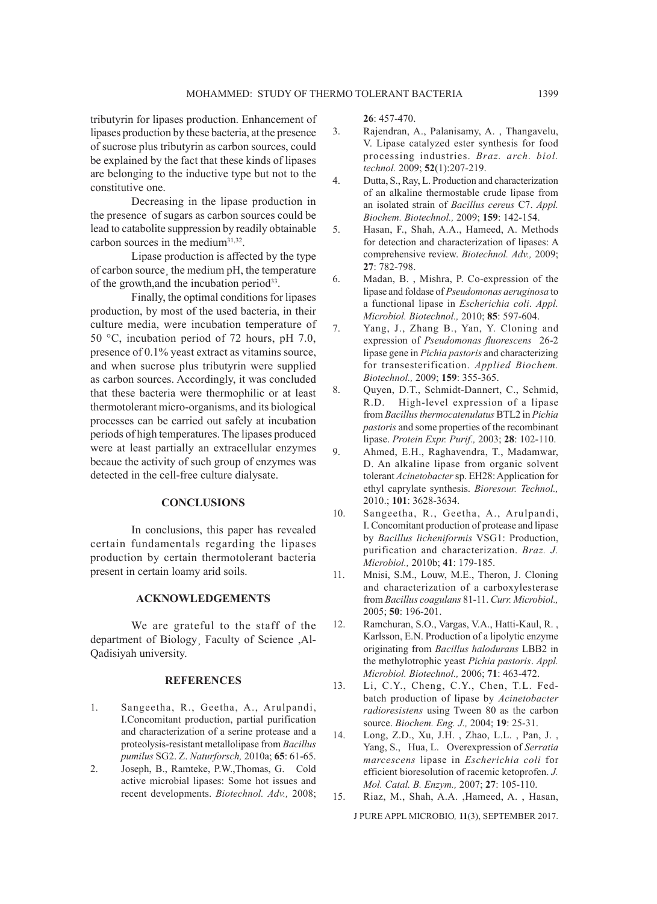tributyrin for lipases production. Enhancement of lipases production by these bacteria, at the presence of sucrose plus tributyrin as carbon sources, could be explained by the fact that these kinds of lipases are belonging to the inductive type but not to the constitutive one.

Decreasing in the lipase production in the presence of sugars as carbon sources could be lead to catabolite suppression by readily obtainable carbon sources in the medium<sup>31,32</sup>.

Lipase production is affected by the type of carbon source¸ the medium pH, the temperature of the growth, and the incubation period<sup>33</sup>.

Finally, the optimal conditions for lipases production, by most of the used bacteria, in their culture media, were incubation temperature of 50 °C, incubation period of 72 hours, pH 7.0, presence of 0.1% yeast extract as vitamins source, and when sucrose plus tributyrin were supplied as carbon sources. Accordingly, it was concluded that these bacteria were thermophilic or at least thermotolerant micro-organisms, and its biological processes can be carried out safely at incubation periods of high temperatures. The lipases produced were at least partially an extracellular enzymes becaue the activity of such group of enzymes was detected in the cell-free culture dialysate.

# **CONCLUSIONS**

In conclusions, this paper has revealed certain fundamentals regarding the lipases production by certain thermotolerant bacteria present in certain loamy arid soils.

# **ACKNOWLEDGEMENTS**

We are grateful to the staff of the department of Biology¸ Faculty of Science ,Al-Qadisiyah university.

#### **REFERENCES**

- 1. Sangeetha, R., Geetha, A., Arulpandi, I.Concomitant production, partial purification and characterization of a serine protease and a proteolysis-resistant metallolipase from *Bacillus pumilus* SG2. Z. *Naturforsch,* 2010a; **65**: 61-65.
- 2. Joseph, B., Ramteke, P.W.,Thomas, G. Cold active microbial lipases: Some hot issues and recent developments. *Biotechnol. Adv.,* 2008;

**26**: 457-470.

- 3. Rajendran, A., Palanisamy, A. , Thangavelu, V. Lipase catalyzed ester synthesis for food processing industries. *Braz. arch. biol. technol.* 2009; **52**(1):207-219.
- 4. Dutta, S., Ray, L. Production and characterization of an alkaline thermostable crude lipase from an isolated strain of *Bacillus cereus* C7. *Appl. Biochem. Biotechnol.,* 2009; **159**: 142-154.
- 5. Hasan, F., Shah, A.A., Hameed, A. Methods for detection and characterization of lipases: A comprehensive review. *Biotechnol. Adv.,* 2009; **27**: 782-798.
- 6. Madan, B. , Mishra, P. Co-expression of the lipase and foldase of *Pseudomonas aeruginosa* to a functional lipase in *Escherichia coli*. *Appl. Microbiol. Biotechnol.,* 2010; **85**: 597-604.
- 7. Yang, J., Zhang B., Yan, Y. Cloning and expression of *Pseudomonas fluorescens* 26-2 lipase gene in *Pichia pastoris* and characterizing for transesterification. *Applied Biochem. Biotechnol.,* 2009; **159**: 355-365.
- 8. Quyen, D.T., Schmidt-Dannert, C., Schmid, R.D. High-level expression of a lipase from *Bacillus thermocatenulatus* BTL2 in *Pichia pastoris* and some properties of the recombinant lipase. *Protein Expr. Purif.,* 2003; **28**: 102-110.
- 9. Ahmed, E.H., Raghavendra, T., Madamwar, D. An alkaline lipase from organic solvent tolerant *Acinetobacter*sp. EH28: Application for ethyl caprylate synthesis. *Bioresour. Technol.,*  2010.; **101**: 3628-3634.
- 10. Sangeetha, R., Geetha, A., Arulpandi, I. Concomitant production of protease and lipase by *Bacillus licheniformis* VSG1: Production, purification and characterization. *Braz. J. Microbiol.,* 2010b; **41**: 179-185.
- 11. Mnisi, S.M., Louw, M.E., Theron, J. Cloning and characterization of a carboxylesterase from *Bacillus coagulans* 81-11. *Curr. Microbiol.,*  2005; **50**: 196-201.
- 12. Ramchuran, S.O., Vargas, V.A., Hatti-Kaul, R. , Karlsson, E.N. Production of a lipolytic enzyme originating from *Bacillus halodurans* LBB2 in the methylotrophic yeast *Pichia pastoris*. *Appl. Microbiol. Biotechnol.,* 2006; **71**: 463-472.
- 13. Li, C.Y., Cheng, C.Y., Chen, T.L. Fedbatch production of lipase by *Acinetobacter radioresistens* using Tween 80 as the carbon source. *Biochem. Eng. J.,* 2004; **19**: 25-31.
- 14. Long, Z.D., Xu, J.H. , Zhao, L.L. , Pan, J. , Yang, S., Hua, L. Overexpression of *Serratia marcescens* lipase in *Escherichia coli* for efficient bioresolution of racemic ketoprofen. *J. Mol. Catal. B. Enzym.,* 2007; **27**: 105-110.
- 15. Riaz, M., Shah, A.A. ,Hameed, A. , Hasan,